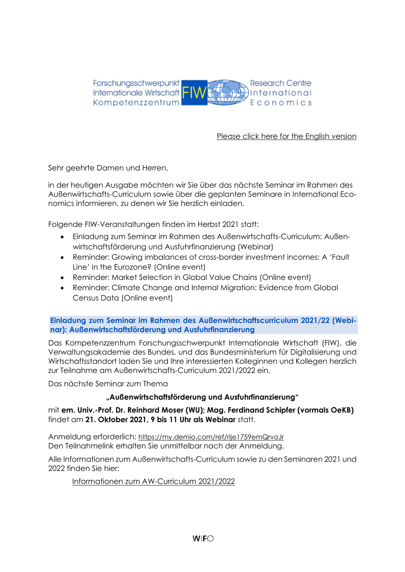

# [Please click here for the English version](#page-4-0)

Sehr geehrte Damen und Herren,

in der heutigen Ausgabe möchten wir Sie über das nächste Seminar im Rahmen des Außenwirtschafts-Curriculum sowie über die geplanten Seminare in International Economics informieren, zu denen wir Sie herzlich einladen.

Folgende FIW-Veranstaltungen finden im Herbst 2021 statt:

- Einladung zum Seminar im Rahmen des Außenwirtschafts-Curriculum: Außenwirtschaftsförderung und Ausfuhrfinanzierung (Webinar)
- Reminder: Growing imbalances of cross-border investment incomes: A 'Fault Line' in the Eurozone? (Online event)
- Reminder: Market Selection in Global Value Chains (Online event)
- Reminder: Climate Change and Internal Migration: Evidence from Global Census Data (Online event)

### **Einladung zum Seminar im Rahmen des Außenwirtschaftscurriculum 2021/22 (Webinar): Außenwirtschaftsförderung und Ausfuhrfinanzierung**

Das Kompetenzzentrum Forschungsschwerpunkt Internationale Wirtschaft (FIW), die Verwaltungsakademie des Bundes, und das Bundesministerium für Digitalisierung und Wirtschaftsstandort laden Sie und Ihre interessierten Kolleginnen und Kollegen herzlich zur Teilnahme am Außenwirtschafts-Curriculum 2021/2022 ein.

Das nächste Seminar zum Thema

# **"Außenwirtschaftsförderung und Ausfuhrfinanzierung"**

mit **em. Univ.-Prof. Dr. Reinhard Moser (WU); Mag. Ferdinand Schipfer (vormals OeKB)**  findet am **21. Oktober 2021, 9 bis 11 Uhr als Webinar** statt.

Anmeldung erforderlich: <https://my.demio.com/ref/rIje1759emQrvoJr> Den Teilnahmelink erhalten Sie unmittelbar nach der Anmeldung.

Alle Informationen zum Außenwirtschafts-Curriculum sowie zu den Seminaren 2021 und 2022 finden Sie hier:

[Informationen zum AW-Curriculum 2021/2022](https://fiw.ac.at/veranstaltungen/aussenwirtschafts-curriculum/aw-curriculum-2021/22)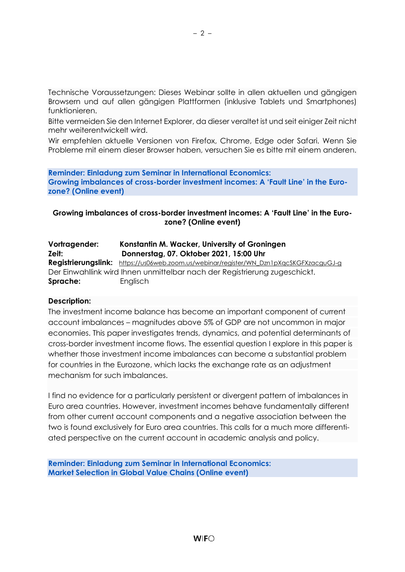Technische Voraussetzungen: Dieses Webinar sollte in allen aktuellen und gängigen Browsern und auf allen gängigen Plattformen (inklusive Tablets und Smartphones) funktionieren.

Bitte vermeiden Sie den Internet Explorer, da dieser veraltet ist und seit einiger Zeit nicht mehr weiterentwickelt wird.

Wir empfehlen aktuelle Versionen von Firefox, Chrome, Edge oder Safari. Wenn Sie Probleme mit einem dieser Browser haben, versuchen Sie es bitte mit einem anderen.

**Reminder: Einladung zum Seminar in International Economics: Growing imbalances of cross-border investment incomes: A 'Fault Line' in the Eurozone? (Online event)**

# **Growing imbalances of cross-border investment incomes: A 'Fault Line' in the Eurozone? (Online event)**

**Vortragender: Konstantin M. Wacker, University of Groningen Zeit: Donnerstag, 07. Oktober 2021, 15:00 Uhr Registrierungslink:** [https://us06web.zoom.us/webinar/register/WN\\_Dzn1pXqcSKGFXzacguGJ-g](https://us06web.zoom.us/webinar/register/WN_Dzn1pXqcSKGFXzacguGJ-g) Der Einwahllink wird Ihnen unmittelbar nach der Registrierung zugeschickt. **Sprache:** Englisch

#### **Description:**

The investment income balance has become an important component of current account imbalances – magnitudes above 5% of GDP are not uncommon in major economies. This paper investigates trends, dynamics, and potential determinants of cross-border investment income flows. The essential question I explore in this paper is whether those investment income imbalances can become a substantial problem for countries in the Eurozone, which lacks the exchange rate as an adjustment mechanism for such imbalances.

I find no evidence for a particularly persistent or divergent pattern of imbalances in Euro area countries. However, investment incomes behave fundamentally different from other current account components and a negative association between the two is found exclusively for Euro area countries. This calls for a much more differentiated perspective on the current account in academic analysis and policy.

**Reminder: Einladung zum Seminar in International Economics: Market Selection in Global Value Chains (Online event)**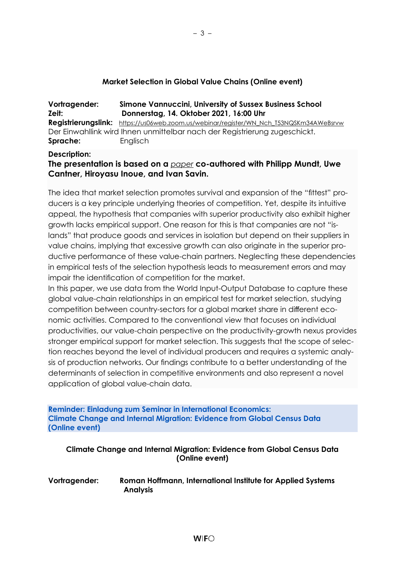### **Market Selection in Global Value Chains (Online event)**

**Vortragender: Simone Vannuccini, University of Sussex Business School Zeit: Donnerstag, 14. Oktober 2021, 16:00 Uhr Registrierungslink:** [https://us06web.zoom.us/webinar/register/WN\\_Nch\\_T53NQSKm34AWeBsrvw](https://us06web.zoom.us/webinar/register/WN_Nch_T53NQSKm34AWeBsrvw) Der Einwahllink wird Ihnen unmittelbar nach der Registrierung zugeschickt. **Sprache:** Englisch

#### **Description:**

# **The presentation is based on a** *[paper](https://www.uni-bamberg.de/fileadmin/uni/fakultaeten/sowi_faecher/vwl/BERG/BERG_170.pdf)* **co-authored with Philipp Mundt, Uwe Cantner, Hiroyasu Inoue, and Ivan Savin.**

The idea that market selection promotes survival and expansion of the "fittest" producers is a key principle underlying theories of competition. Yet, despite its intuitive appeal, the hypothesis that companies with superior productivity also exhibit higher growth lacks empirical support. One reason for this is that companies are not "islands" that produce goods and services in isolation but depend on their suppliers in value chains, implying that excessive growth can also originate in the superior productive performance of these value-chain partners. Neglecting these dependencies in empirical tests of the selection hypothesis leads to measurement errors and may impair the identification of competition for the market.

In this paper, we use data from the World Input-Output Database to capture these global value-chain relationships in an empirical test for market selection, studying competition between country-sectors for a global market share in different economic activities. Compared to the conventional view that focuses on individual productivities, our value-chain perspective on the productivity-growth nexus provides stronger empirical support for market selection. This suggests that the scope of selection reaches beyond the level of individual producers and requires a systemic analysis of production networks. Our findings contribute to a better understanding of the determinants of selection in competitive environments and also represent a novel application of global value-chain data.

**Reminder: Einladung zum Seminar in International Economics: Climate Change and Internal Migration: Evidence from Global Census Data (Online event)**

# **Climate Change and Internal Migration: Evidence from Global Census Data (Online event)**

**Vortragender: Roman Hoffmann, International Institute for Applied Systems Analysis**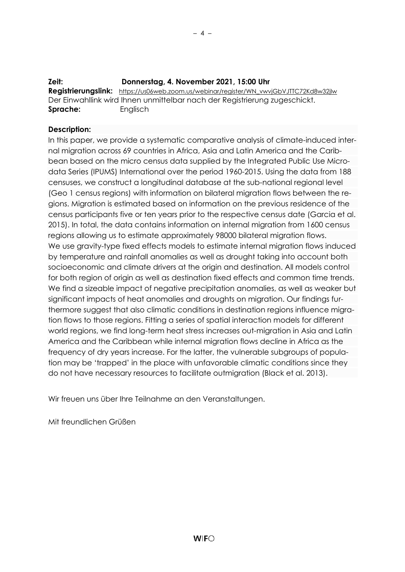## **Zeit: Donnerstag, 4. November 2021, 15:00 Uhr Registrierungslink:** [https://us06web.zoom.us/webinar/register/WN\\_vwvjGbVJTTC72Kd8w32jIw](https://us06web.zoom.us/webinar/register/WN_vwvjGbVJTTC72Kd8w32jIw) Der Einwahllink wird Ihnen unmittelbar nach der Registrierung zugeschickt. **Sprache:** Englisch

# **Description:**

In this paper, we provide a systematic comparative analysis of climate-induced internal migration across 69 countries in Africa, Asia and Latin America and the Caribbean based on the micro census data supplied by the Integrated Public Use Microdata Series (IPUMS) International over the period 1960-2015. Using the data from 188 censuses, we construct a longitudinal database at the sub-national regional level (Geo 1 census regions) with information on bilateral migration flows between the regions. Migration is estimated based on information on the previous residence of the census participants five or ten years prior to the respective census date (Garcia et al. 2015). In total, the data contains information on internal migration from 1600 census regions allowing us to estimate approximately 98000 bilateral migration flows. We use gravity-type fixed effects models to estimate internal migration flows induced by temperature and rainfall anomalies as well as drought taking into account both socioeconomic and climate drivers at the origin and destination. All models control for both region of origin as well as destination fixed effects and common time trends. We find a sizeable impact of negative precipitation anomalies, as well as weaker but significant impacts of heat anomalies and droughts on migration. Our findings furthermore suggest that also climatic conditions in destination regions influence migration flows to those regions. Fitting a series of spatial interaction models for different world regions, we find long-term heat stress increases out-migration in Asia and Latin America and the Caribbean while internal migration flows decline in Africa as the frequency of dry years increase. For the latter, the vulnerable subgroups of population may be 'trapped' in the place with unfavorable climatic conditions since they do not have necessary resources to facilitate outmigration (Black et al. 2013).

Wir freuen uns über Ihre Teilnahme an den Veranstaltungen.

Mit freundlichen Grüßen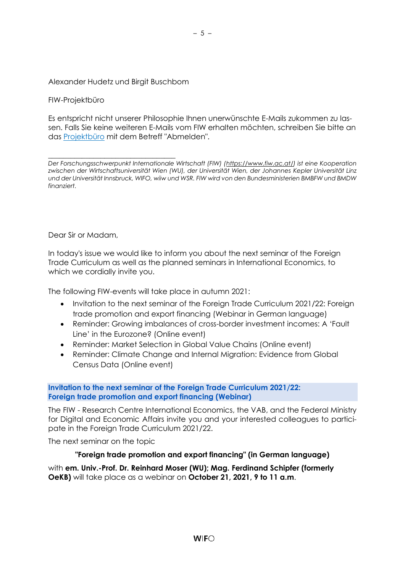## Alexander Hudetz und Birgit Buschbom

#### FIW-Projektbüro

Es entspricht nicht unserer Philosophie Ihnen unerwünschte E-Mails zukommen zu lassen. Falls Sie keine weiteren E-Mails vom FIW erhalten möchten, schreiben Sie bitte an das [Projektbüro](mailto:fiw-pb@fiw.at) mit dem Betreff "Abmelden".

\_\_\_\_\_\_\_\_\_\_\_\_\_\_\_\_\_\_\_\_\_\_\_\_\_\_\_\_\_\_\_\_\_\_ *Der Forschungsschwerpunkt Internationale Wirtschaft (FIW) [\(https://www.fiw.ac.at/\)](https://www.fiw.ac.at/) ist eine Kooperation zwischen der Wirtschaftsuniversität Wien (WU), der Universität Wien, der Johannes Kepler Universität Linz und der Universität Innsbruck, WIFO, wiiw und WSR. FIW wird von den Bundesministerien BMBFW und BMDW finanziert.*

<span id="page-4-0"></span>Dear Sir or Madam,

In today's issue we would like to inform you about the next seminar of the Foreign Trade Curriculum as well as the planned seminars in International Economics, to which we cordially invite you.

The following FIW-events will take place in autumn 2021:

- Invitation to the next seminar of the Foreign Trade Curriculum 2021/22: Foreign trade promotion and export financing (Webinar in German language)
- Reminder: Growing imbalances of cross-border investment incomes: A 'Fault Line' in the Eurozone? (Online event)
- Reminder: Market Selection in Global Value Chains (Online event)
- Reminder: Climate Change and Internal Migration: Evidence from Global Census Data (Online event)

### **Invitation to the next seminar of the Foreign Trade Curriculum 2021/22: Foreign trade promotion and export financing (Webinar)**

The FIW - Research Centre International Economics, the VAB, and the Federal Ministry for Digital and Economic Affairs invite you and your interested colleagues to participate in the Foreign Trade Curriculum 2021/22.

The next seminar on the topic

#### **"Foreign trade promotion and export financing" (in German language)**

with **em. Univ.-Prof. Dr. Reinhard Moser (WU); Mag. Ferdinand Schipfer (formerly OeKB)** will take place as a webinar on **October 21, 2021, 9 to 11 a.m**.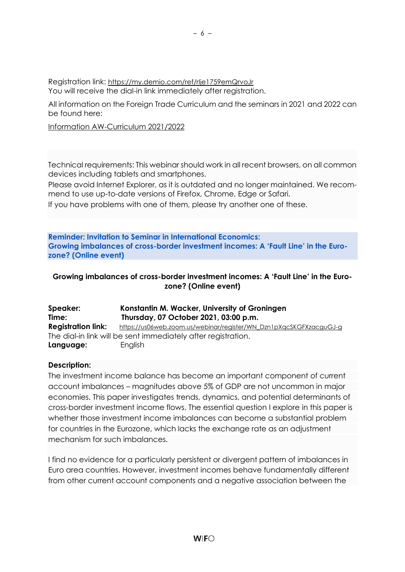Registration link: <https://my.demio.com/ref/rIje1759emQrvoJr> You will receive the dial-in link immediately after registration.

All information on the Foreign Trade Curriculum and the seminars in 2021 and 2022 can be found here:

[Information AW-Curriculum 2021/2022](https://fiw.ac.at/veranstaltungen/aussenwirtschafts-curriculum/aw-curriculum-2021/22)

Technical requirements: This webinar should work in all recent browsers, on all common devices including tablets and smartphones.

Please avoid Internet Explorer, as it is outdated and no longer maintained. We recommend to use up-to-date versions of Firefox, Chrome, Edge or Safari.

If you have problems with one of them, please try another one of these.

**Reminder: Invitation to Seminar in International Economics: Growing imbalances of cross-border investment incomes: A 'Fault Line' in the Eurozone? (Online event)**

# **Growing imbalances of cross-border investment incomes: A 'Fault Line' in the Eurozone? (Online event)**

| Speaker:                  | Konstantin M. Wacker, University of Groningen                      |
|---------------------------|--------------------------------------------------------------------|
| Time:                     | Thursday, 07 October 2021, 03:00 p.m.                              |
| <b>Registration link:</b> | https://us06web.zoom.us/webinar/register/WN_Dzn1pXgcSKGFXzacguGJ-g |
|                           | The dial-in link will be sent immediately after registration.      |
| Language:                 | English                                                            |

# **Description:**

The investment income balance has become an important component of current account imbalances – magnitudes above 5% of GDP are not uncommon in major economies. This paper investigates trends, dynamics, and potential determinants of cross-border investment income flows. The essential question I explore in this paper is whether those investment income imbalances can become a substantial problem for countries in the Eurozone, which lacks the exchange rate as an adjustment mechanism for such imbalances.

I find no evidence for a particularly persistent or divergent pattern of imbalances in Euro area countries. However, investment incomes behave fundamentally different from other current account components and a negative association between the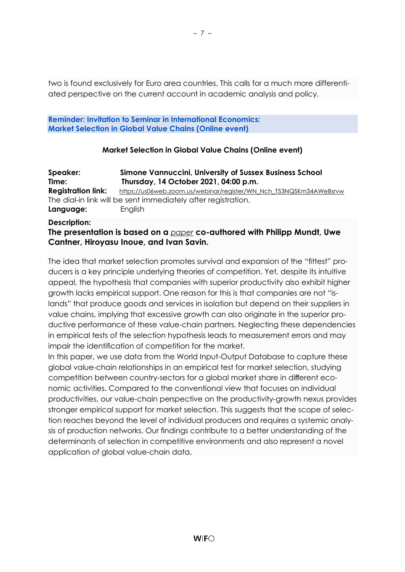two is found exclusively for Euro area countries. This calls for a much more differentiated perspective on the current account in academic analysis and policy.

**Reminder: Invitation to Seminar in International Economics: Market Selection in Global Value Chains (Online event)**

# **Market Selection in Global Value Chains (Online event)**

| Speaker:                                                      | Simone Vannuccini, University of Sussex Business School            |
|---------------------------------------------------------------|--------------------------------------------------------------------|
| Time:                                                         | Thursday, 14 October 2021, 04:00 p.m.                              |
| <b>Registration link:</b>                                     | https://us06web.zoom.us/webinar/register/WN_Nch_T53NQSKm34AWeBsrvw |
| The dial-in link will be sent immediately after registration. |                                                                    |
| Language:                                                     | English                                                            |
| Description:                                                  |                                                                    |

# **The presentation is based on a** *[paper](https://www.uni-bamberg.de/fileadmin/uni/fakultaeten/sowi_faecher/vwl/BERG/BERG_170.pdf)* **co-authored with Philipp Mundt, Uwe Cantner, Hiroyasu Inoue, and Ivan Savin.**

The idea that market selection promotes survival and expansion of the "fittest" producers is a key principle underlying theories of competition. Yet, despite its intuitive appeal, the hypothesis that companies with superior productivity also exhibit higher growth lacks empirical support. One reason for this is that companies are not "islands" that produce goods and services in isolation but depend on their suppliers in value chains, implying that excessive growth can also originate in the superior productive performance of these value-chain partners. Neglecting these dependencies in empirical tests of the selection hypothesis leads to measurement errors and may impair the identification of competition for the market.

In this paper, we use data from the World Input-Output Database to capture these global value-chain relationships in an empirical test for market selection, studying competition between country-sectors for a global market share in different economic activities. Compared to the conventional view that focuses on individual productivities, our value-chain perspective on the productivity-growth nexus provides stronger empirical support for market selection. This suggests that the scope of selection reaches beyond the level of individual producers and requires a systemic analysis of production networks. Our findings contribute to a better understanding of the determinants of selection in competitive environments and also represent a novel application of global value-chain data.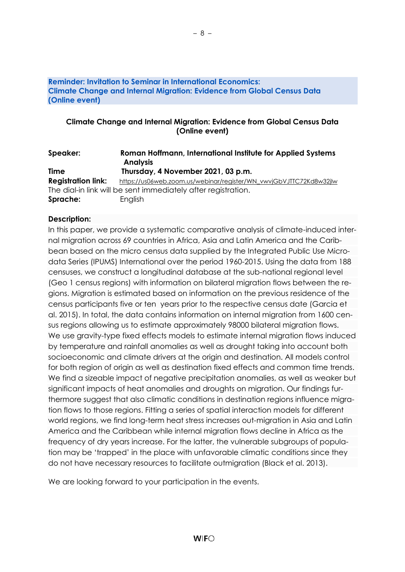#### **Reminder: Invitation to Seminar in International Economics: Climate Change and Internal Migration: Evidence from Global Census Data (Online event)**

# **Climate Change and Internal Migration: Evidence from Global Census Data (Online event)**

– 8 –

#### **Speaker: Roman Hoffmann, International Institute for Applied Systems Analysis Time Thursday, 4 November 2021, 03 p.m. Registration link:** [https://us06web.zoom.us/webinar/register/WN\\_vwvjGbVJTTC72Kd8w32jIw](https://us06web.zoom.us/webinar/register/WN_vwvjGbVJTTC72Kd8w32jIw) The dial-in link will be sent immediately after registration. **Sprache:** English

# **Description:**

In this paper, we provide a systematic comparative analysis of climate-induced internal migration across 69 countries in Africa, Asia and Latin America and the Caribbean based on the micro census data supplied by the Integrated Public Use Microdata Series (IPUMS) International over the period 1960-2015. Using the data from 188 censuses, we construct a longitudinal database at the sub-national regional level (Geo 1 census regions) with information on bilateral migration flows between the regions. Migration is estimated based on information on the previous residence of the census participants five or ten years prior to the respective census date (Garcia et al. 2015). In total, the data contains information on internal migration from 1600 census regions allowing us to estimate approximately 98000 bilateral migration flows. We use gravity-type fixed effects models to estimate internal migration flows induced by temperature and rainfall anomalies as well as drought taking into account both socioeconomic and climate drivers at the origin and destination. All models control for both region of origin as well as destination fixed effects and common time trends. We find a sizeable impact of negative precipitation anomalies, as well as weaker but significant impacts of heat anomalies and droughts on migration. Our findings furthermore suggest that also climatic conditions in destination regions influence migration flows to those regions. Fitting a series of spatial interaction models for different world regions, we find long-term heat stress increases out-migration in Asia and Latin America and the Caribbean while internal migration flows decline in Africa as the frequency of dry years increase. For the latter, the vulnerable subgroups of population may be 'trapped' in the place with unfavorable climatic conditions since they do not have necessary resources to facilitate outmigration (Black et al. 2013).

We are looking forward to your participation in the events.